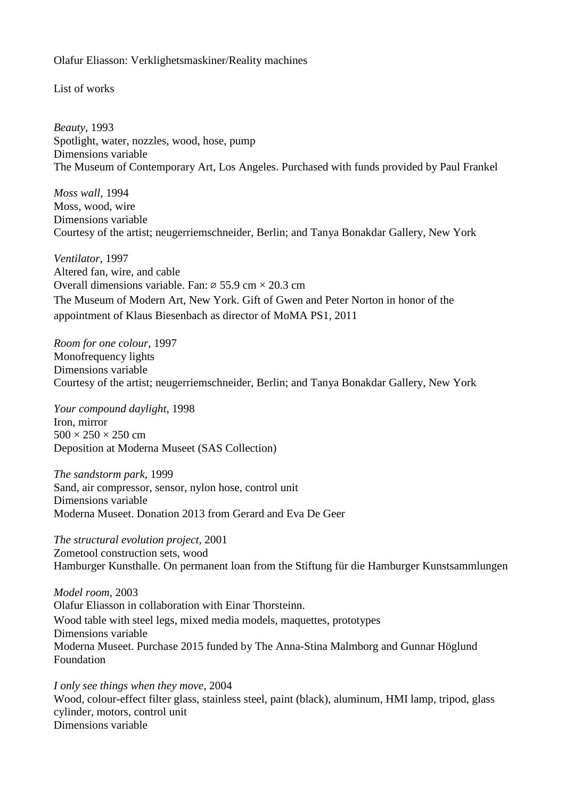## Olafur Eliasson: Verklighetsmaskiner/Reality machines

List of works

*Beauty*, 1993 Spotlight, water, nozzles, wood, hose, pump Dimensions variable The Museum of Contemporary Art, Los Angeles. Purchased with funds provided by Paul Frankel

*Moss wall*, 1994 Moss, wood, wire Dimensions variable Courtesy of the artist; neugerriemschneider, Berlin; and Tanya Bonakdar Gallery, New York

*Ventilator*, 1997 Altered fan, wire, and cable Overall dimensions variable. Fan:  $\varnothing$  55.9 cm  $\times$  20.3 cm The Museum of Modern Art, New York. Gift of Gwen and Peter Norton in honor of the appointment of Klaus Biesenbach as director of MoMA PS1, 2011

*Room for one colour*, 1997 Monofrequency lights Dimensions variable Courtesy of the artist; neugerriemschneider, Berlin; and Tanya Bonakdar Gallery, New York

*Your compound daylight*, 1998 Iron, mirror  $500 \times 250 \times 250$  cm Deposition at Moderna Museet (SAS Collection)

*The sandstorm park*, 1999 Sand, air compressor, sensor, nylon hose, control unit Dimensions variable Moderna Museet. Donation 2013 from Gerard and Eva De Geer

*The structural evolution project*, 2001 Zometool construction sets, wood Hamburger Kunsthalle. On permanent loan from the Stiftung für die Hamburger Kunstsammlungen

*Model room*, 2003 Olafur Eliasson in collaboration with Einar Thorsteinn. Wood table with steel legs, mixed media models, maquettes, prototypes Dimensions variable Moderna Museet. Purchase 2015 funded by The Anna-Stina Malmborg and Gunnar Höglund Foundation

*I only see things when they move*, 2004 Wood, colour-effect filter glass, stainless steel, paint (black), aluminum, HMI lamp, tripod, glass cylinder, motors, control unit Dimensions variable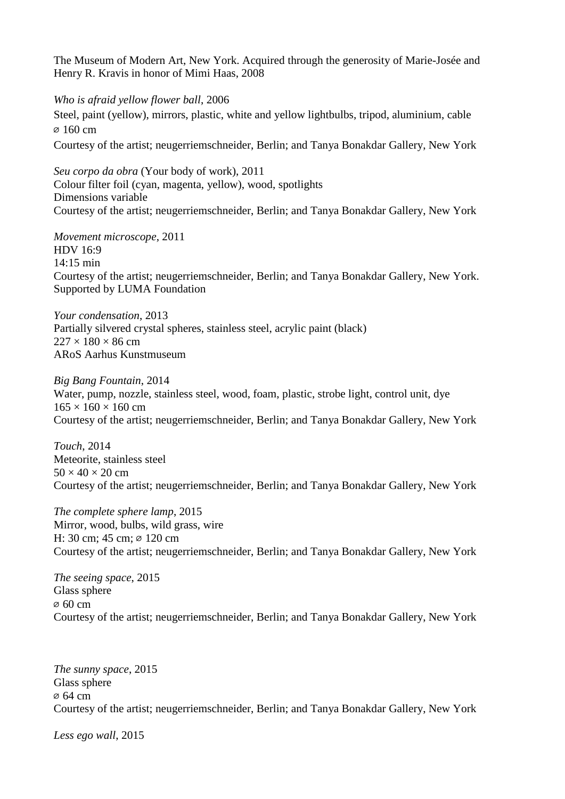The Museum of Modern Art, New York. Acquired through the generosity of Marie-Josée and Henry R. Kravis in honor of Mimi Haas, 2008

*Who is afraid yellow flower ball*, 2006 Steel, paint (yellow), mirrors, plastic, white and yellow lightbulbs, tripod, aluminium, cable ⌀ 160 cm Courtesy of the artist; neugerriemschneider, Berlin; and Tanya Bonakdar Gallery, New York

*Seu corpo da obra* (Your body of work), 2011 Colour filter foil (cyan, magenta, yellow), wood, spotlights Dimensions variable Courtesy of the artist; neugerriemschneider, Berlin; and Tanya Bonakdar Gallery, New York

*Movement microscope*, 2011 HDV 16:9 14:15 min Courtesy of the artist; neugerriemschneider, Berlin; and Tanya Bonakdar Gallery, New York. Supported by LUMA Foundation

*Your condensation*, 2013 Partially silvered crystal spheres, stainless steel, acrylic paint (black)  $227 \times 180 \times 86$  cm ARoS Aarhus Kunstmuseum

*Big Bang Fountain*, 2014 Water, pump, nozzle, stainless steel, wood, foam, plastic, strobe light, control unit, dye  $165 \times 160 \times 160$  cm Courtesy of the artist; neugerriemschneider, Berlin; and Tanya Bonakdar Gallery, New York

*Touch*, 2014 Meteorite, stainless steel  $50 \times 40 \times 20$  cm Courtesy of the artist; neugerriemschneider, Berlin; and Tanya Bonakdar Gallery, New York

*The complete sphere lamp*, 2015 Mirror, wood, bulbs, wild grass, wire H: 30 cm; 45 cm; ∅ 120 cm Courtesy of the artist; neugerriemschneider, Berlin; and Tanya Bonakdar Gallery, New York

*The seeing space*, 2015 Glass sphere ⌀ 60 cm Courtesy of the artist; neugerriemschneider, Berlin; and Tanya Bonakdar Gallery, New York

*The sunny space*, 2015 Glass sphere ⌀ 64 cm Courtesy of the artist; neugerriemschneider, Berlin; and Tanya Bonakdar Gallery, New York

*Less ego wall*, 2015